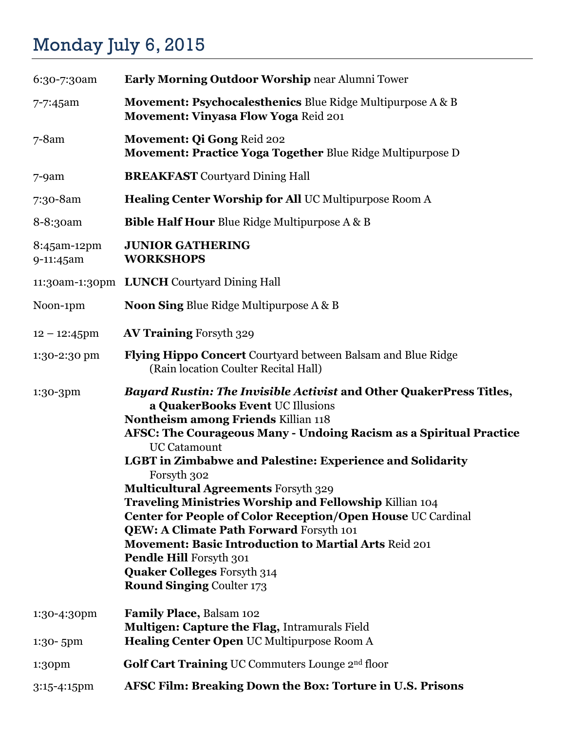## Monday July 6, 2015

| 6:30-7:30am              | <b>Early Morning Outdoor Worship near Alumni Tower</b>                                                                                                                                                                                                                                                                                                                                                                                                                                                                                                                                                                                                                                                                         |
|--------------------------|--------------------------------------------------------------------------------------------------------------------------------------------------------------------------------------------------------------------------------------------------------------------------------------------------------------------------------------------------------------------------------------------------------------------------------------------------------------------------------------------------------------------------------------------------------------------------------------------------------------------------------------------------------------------------------------------------------------------------------|
| 7-7:45am                 | <b>Movement: Psychocalesthenics Blue Ridge Multipurpose A &amp; B</b><br>Movement: Vinyasa Flow Yoga Reid 201                                                                                                                                                                                                                                                                                                                                                                                                                                                                                                                                                                                                                  |
| $7 - 8$ am               | Movement: Qi Gong Reid 202<br><b>Movement: Practice Yoga Together Blue Ridge Multipurpose D</b>                                                                                                                                                                                                                                                                                                                                                                                                                                                                                                                                                                                                                                |
| $7 - 9$ am               | <b>BREAKFAST</b> Courtyard Dining Hall                                                                                                                                                                                                                                                                                                                                                                                                                                                                                                                                                                                                                                                                                         |
| 7:30-8am                 | Healing Center Worship for All UC Multipurpose Room A                                                                                                                                                                                                                                                                                                                                                                                                                                                                                                                                                                                                                                                                          |
| 8-8:30am                 | <b>Bible Half Hour Blue Ridge Multipurpose A &amp; B</b>                                                                                                                                                                                                                                                                                                                                                                                                                                                                                                                                                                                                                                                                       |
| 8:45am-12pm<br>9-11:45am | <b>JUNIOR GATHERING</b><br><b>WORKSHOPS</b>                                                                                                                                                                                                                                                                                                                                                                                                                                                                                                                                                                                                                                                                                    |
|                          | 11:30am-1:30pm LUNCH Courtyard Dining Hall                                                                                                                                                                                                                                                                                                                                                                                                                                                                                                                                                                                                                                                                                     |
| Noon-1pm                 | Noon Sing Blue Ridge Multipurpose A & B                                                                                                                                                                                                                                                                                                                                                                                                                                                                                                                                                                                                                                                                                        |
| $12 - 12:45$ pm          | <b>AV Training Forsyth 329</b>                                                                                                                                                                                                                                                                                                                                                                                                                                                                                                                                                                                                                                                                                                 |
| 1:30-2:30 pm             | Flying Hippo Concert Courtyard between Balsam and Blue Ridge<br>(Rain location Coulter Recital Hall)                                                                                                                                                                                                                                                                                                                                                                                                                                                                                                                                                                                                                           |
| 1:30-3pm                 | <b>Bayard Rustin: The Invisible Activist and Other QuakerPress Titles,</b><br>a QuakerBooks Event UC Illusions<br>Nontheism among Friends Killian 118<br>AFSC: The Courageous Many - Undoing Racism as a Spiritual Practice<br><b>UC Catamount</b><br><b>LGBT</b> in Zimbabwe and Palestine: Experience and Solidarity<br>Forsyth 302<br><b>Multicultural Agreements Forsyth 329</b><br>Traveling Ministries Worship and Fellowship Killian 104<br>Center for People of Color Reception/Open House UC Cardinal<br>QEW: A Climate Path Forward Forsyth 101<br><b>Movement: Basic Introduction to Martial Arts Reid 201</b><br>Pendle Hill Forsyth 301<br><b>Quaker Colleges Forsyth 314</b><br><b>Round Singing Coulter 173</b> |
| 1:30-4:30pm<br>1:30-5pm  | <b>Family Place, Balsam 102</b><br><b>Multigen: Capture the Flag, Intramurals Field</b><br><b>Healing Center Open UC Multipurpose Room A</b>                                                                                                                                                                                                                                                                                                                                                                                                                                                                                                                                                                                   |
| 1:30pm                   | <b>Golf Cart Training UC Commuters Lounge 2nd floor</b>                                                                                                                                                                                                                                                                                                                                                                                                                                                                                                                                                                                                                                                                        |
| 3:15-4:15pm              | AFSC Film: Breaking Down the Box: Torture in U.S. Prisons                                                                                                                                                                                                                                                                                                                                                                                                                                                                                                                                                                                                                                                                      |